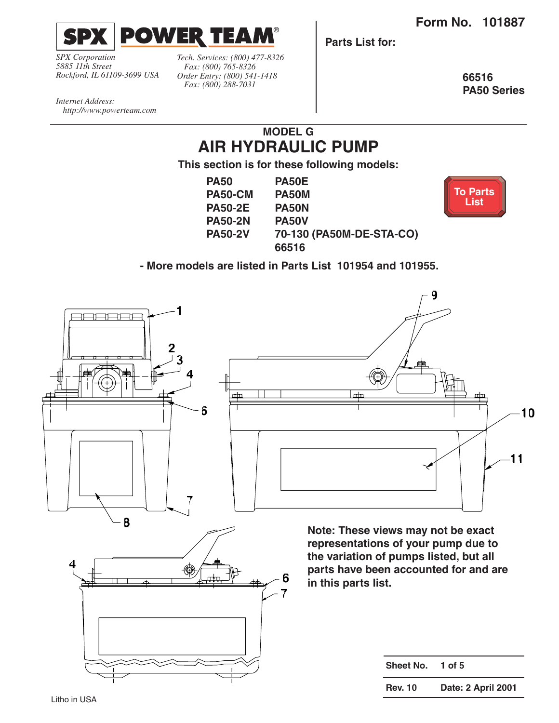**Form No. 101887**

**[To Parts](#page-1-0)  List**

<span id="page-0-0"></span>

*SPX Corporation 5885 11th Street Rockford, IL 61109-3699 USA*

*Tech. Services: (800) 477-8326 Fax: (800) 765-8326 Order Entry: (800) 541-1418 Fax: (800) 288-7031*

**Parts List for:**

**66516 PA50 Series**

*Internet Address: http://www.powerteam.com*

## **MODEL G AIR HYDRAULIC PUMP**

**This section is for these following models:**

| <b>PA50</b>    | <b>PA50E</b>             |
|----------------|--------------------------|
| PA50-CM        | PA50M                    |
| <b>PA50-2E</b> | <b>PA50N</b>             |
| <b>PA50-2N</b> | <b>PA50V</b>             |
| <b>PA50-2V</b> | 70-130 (PA50M-DE-STA-CO) |
|                | 66516                    |



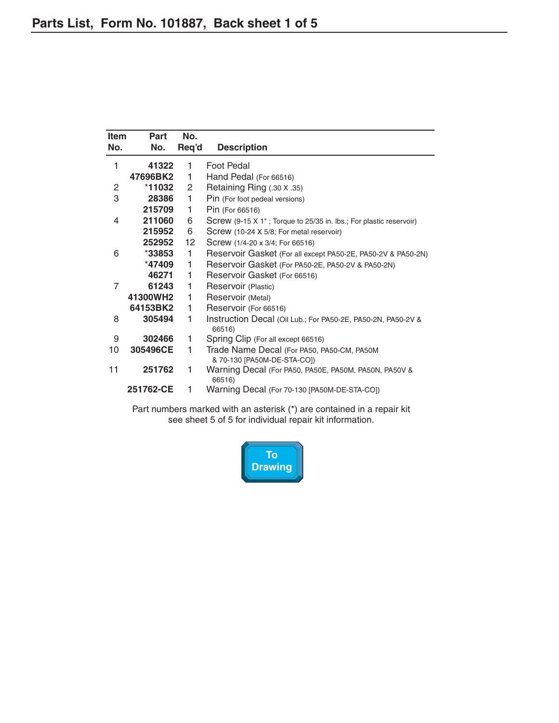<span id="page-1-0"></span>

| <b>Item</b><br>No. | Part<br>No. | No.<br>Req'd    | <b>Description</b>                                                        |
|--------------------|-------------|-----------------|---------------------------------------------------------------------------|
| 1                  | 41322       | 1               | Foot Pedal                                                                |
|                    | 47696BK2    | 1               | Hand Pedal (For 66516)                                                    |
| 2                  | *11032      | 2               | Retaining Ring (.30 X .35)                                                |
| 3                  | 28386       | 1               | Pin (For foot pedeal versions)                                            |
|                    | 215709      | 1               | Pin (For 66516)                                                           |
| 4                  | 211060      | 6               | Screw (9-15 X 1"; Torque to 25/35 in. lbs.; For plastic reservoir)        |
|                    | 215952      | 6               | Screw (10-24 X 5/8; For metal reservoir)                                  |
|                    | 252952      | 12 <sup>°</sup> | Screw (1/4-20 x 3/4; For 66516)                                           |
| 6                  | $*33853$    | 1.              | Reservoir Gasket (For all except PA50-2E, PA50-2V & PA50-2N)              |
|                    | *47409      | 1               | Reservoir Gasket (For PA50-2E, PA50-2V & PA50-2N)                         |
|                    | 46271       | 1               | Reservoir Gasket (For 66516)                                              |
| 7                  | 61243       | 1               | Reservoir (Plastic)                                                       |
|                    | 41300WH2    | 1               | Reservoir (Metal)                                                         |
|                    | 64153BK2    | 1               | Reservoir (For 66516)                                                     |
| 8                  | 305494      | 1               | Instruction Decal (Oil Lub.; For PA50-2E, PA50-2N, PA50-2V &<br>66516)    |
| 9                  | 302466      | 1               | Spring Clip (For all except 66516)                                        |
| 10                 | 305496CE    | 1               | Trade Name Decal (For PA50, PA50-CM, PA50M<br>& 70-130 [PA50M-DE-STA-CO]) |
| 11                 | 251762      | 1               | Warning Decal (For PA50, PA50E, PA50M, PA50N, PA50V &<br>66516)           |
|                    | 251762-CE   | 1               | Warning Decal (For 70-130 [PA50M-DE-STA-CO])                              |

Part numbers marked with an asterisk (\*) are contained in a repair kit see sheet 5 of 5 for individual repair kit information.

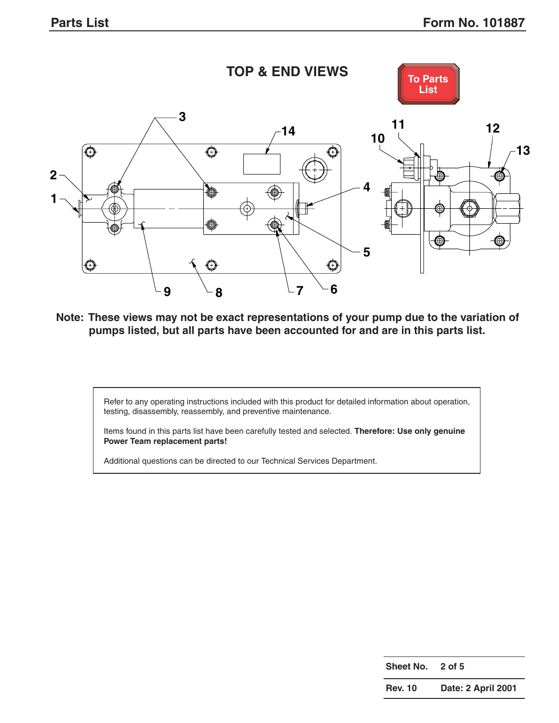<span id="page-2-0"></span>

**Note: These views may not be exact representations of your pump due to the variation of pumps listed, but all parts have been accounted for and are in this parts list.**

Refer to any operating instructions included with this product for detailed information about operation, testing, disassembly, reassembly, and preventive maintenance.

Items found in this parts list have been carefully tested and selected. **Therefore: Use only genuine Power Team replacement parts!**

Additional questions can be directed to our Technical Services Department.

| Sheet No.      | $2$ of 5           |
|----------------|--------------------|
| <b>Rev. 10</b> | Date: 2 April 2001 |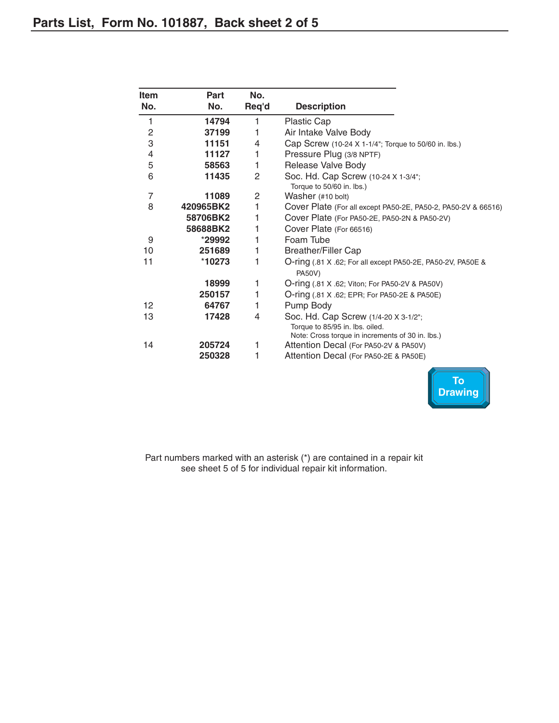<span id="page-3-0"></span>

| Item                     | Part      | No.   |                                                                                                                             |
|--------------------------|-----------|-------|-----------------------------------------------------------------------------------------------------------------------------|
| No.                      | No.       | Req'd | <b>Description</b>                                                                                                          |
| 1                        | 14794     | 1     | Plastic Cap                                                                                                                 |
| $\mathbf{2}$             | 37199     | 1     | Air Intake Valve Body                                                                                                       |
| 3                        | 11151     | 4     | Cap Screw (10-24 X 1-1/4"; Torque to 50/60 in. lbs.)                                                                        |
| $\overline{\mathcal{A}}$ | 11127     | 1     | Pressure Plug (3/8 NPTF)                                                                                                    |
| 5                        | 58563     | 1     | Release Valve Body                                                                                                          |
| 6                        | 11435     | 2     | Soc. Hd. Cap Screw (10-24 X 1-3/4";<br>Torque to 50/60 in. lbs.)                                                            |
| 7                        | 11089     | 2     | Washer (#10 bolt)                                                                                                           |
| 8                        | 420965BK2 | 1     | Cover Plate (For all except PA50-2E, PA50-2, PA50-2V & 66516)                                                               |
|                          | 58706BK2  | 1     | Cover Plate (For PA50-2E, PA50-2N & PA50-2V)                                                                                |
|                          | 58688BK2  | 1     | Cover Plate (For 66516)                                                                                                     |
| 9                        | *29992    | 1     | Foam Tube                                                                                                                   |
| 10                       | 251689    | 1     | <b>Breather/Filler Cap</b>                                                                                                  |
| 11                       | *10273    | 1     | O-ring (.81 X .62; For all except PA50-2E, PA50-2V, PA50E &<br><b>PA50V)</b>                                                |
|                          | 18999     | 1     | O-ring (.81 X .62; Viton; For PA50-2V & PA50V)                                                                              |
|                          | 250157    | 1     | O-ring (.81 X .62; EPR; For PA50-2E & PA50E)                                                                                |
| 12                       | 64767     | 1     | Pump Body                                                                                                                   |
| 13                       | 17428     | 4     | Soc. Hd. Cap Screw (1/4-20 X 3-1/2";<br>Torque to 85/95 in. lbs. oiled.<br>Note: Cross torque in increments of 30 in. lbs.) |
| 14                       | 205724    | 1     | Attention Decal (For PA50-2V & PA50V)                                                                                       |
|                          | 250328    | 1     | Attention Decal (For PA50-2E & PA50E)                                                                                       |



Part numbers marked with an asterisk (\*) are contained in a repair kit see sheet 5 of 5 for individual repair kit information.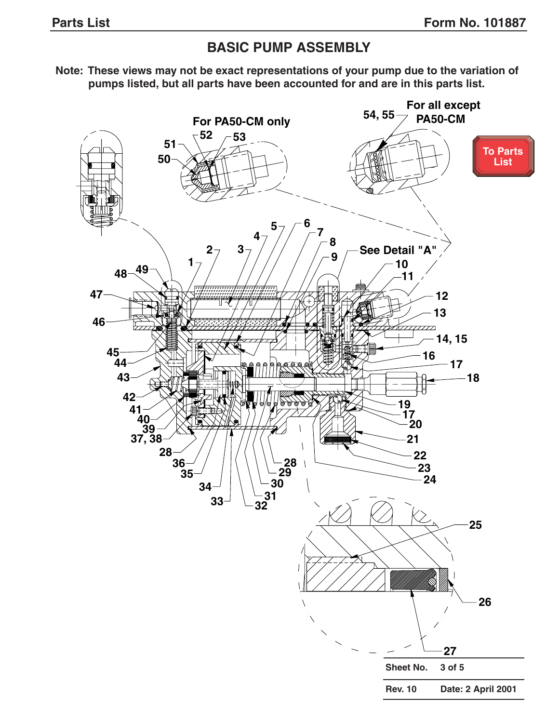## **BASIC PUMP ASSEMBLY**

<span id="page-4-0"></span>**Note: These views may not be exact representations of your pump due to the variation of pumps listed, but all parts have been accounted for and are in this parts list.**

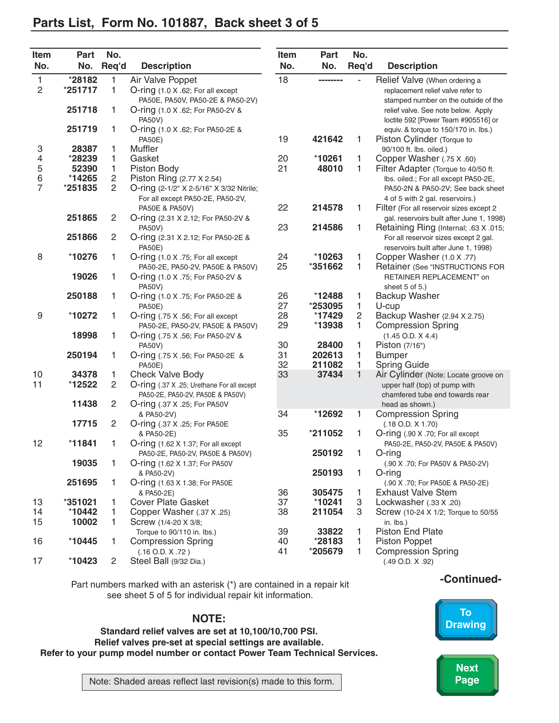## <span id="page-5-0"></span>**Parts List, Form No. 101887, Back sheet 3 of 5**

| Item<br>No.    | Part<br>No. | No.<br>Req'd   | <b>Description</b>                                | Item<br>No. | Part<br>No. | No.<br>Req'd | <b>Description</b>                        |
|----------------|-------------|----------------|---------------------------------------------------|-------------|-------------|--------------|-------------------------------------------|
| 1              | *28182      | 1              | Air Valve Poppet                                  | 18          | --------    |              | Relief Valve (When ordering a             |
| $\overline{c}$ | *251717     | 1              | O-ring (1.0 X .62; For all except                 |             |             |              | replacement relief valve refer to         |
|                |             |                | PA50E, PA50V, PA50-2E & PA50-2V)                  |             |             |              | stamped number on the outside of the      |
|                | 251718      | 1              | O-ring (1.0 X .62; For PA50-2V &                  |             |             |              | relief valve. See note below. Apply       |
|                |             |                | <b>PA50V)</b>                                     |             |             |              | loctite 592 [Power Team #905516] or       |
|                | 251719      | 1              | O-ring (1.0 X .62; For PA50-2E &                  |             |             |              | equiv. & torque to 150/170 in. lbs.)      |
|                |             |                | <b>PA50E)</b>                                     | 19          | 421642      | 1            | Piston Cylinder (Torque to                |
| 3              | 28387       | 1              | Muffler                                           |             |             |              | 90/100 ft. lbs. oiled.)                   |
| 4              | *28239      | 1              | Gasket                                            | 20          | *10261      | 1            | Copper Washer (.75 X .60)                 |
| 5<br>6<br>7    | 52390       | 1              | Piston Body                                       | 21          | 48010       | 1            | Filter Adapter (Torque to 40/50 ft.       |
|                | *14265      | $\overline{c}$ | Piston Ring (2.77 X 2.54)                         |             |             |              | Ibs. oiled.; For all except PA50-2E,      |
|                | *251835     | 2              | O-ring (2-1/2" X 2-5/16" X 3/32 Nitrile;          |             |             |              | PA50-2N & PA50-2V; See back sheet         |
|                |             |                | For all except PA50-2E, PA50-2V,                  |             |             |              | 4 of 5 with 2 gal. reservoirs.)           |
|                |             |                | PA50E & PA50V)                                    | 22          | 214578      | 1            | Filter (For all reservoir sizes except 2  |
|                | 251865      | $\overline{c}$ | O-ring (2.31 X 2.12; For PA50-2V &                |             |             |              | gal. reservoirs built after June 1, 1998) |
|                |             |                | <b>PA50V)</b>                                     | 23          | 214586      | 1            | Retaining Ring (Internal; .63 X .015;     |
|                | 251866      | 2              | O-ring (2.31 X 2.12; For PA50-2E &                |             |             |              | For all reservoir sizes except 2 gal.     |
|                |             |                | <b>PA50E)</b>                                     |             |             |              | reservoirs built after June 1, 1998)      |
| 8              | *10276      | 1              | O-ring (1.0 X .75; For all except                 | 24          | *10263      | 1            | Copper Washer (1.0 X .77)                 |
|                |             |                | PA50-2E, PA50-2V, PA50E & PA50V)                  | 25          | *351662     | 1            | Retainer (See "INSTRUCTIONS FOR           |
|                | 19026       | 1              | O-ring (1.0 X .75; For PA50-2V &                  |             |             |              | RETAINER REPLACEMENT" on                  |
|                |             |                | <b>PA50V)</b>                                     |             |             |              | sheet 5 of 5.)                            |
|                | 250188      | 1              | O-ring (1.0 X .75; For PA50-2E &                  | 26          | *12488      | 1            | <b>Backup Washer</b>                      |
|                |             |                | <b>PA50E)</b>                                     | 27          | *253095     | $\mathbf{1}$ | U-cup                                     |
| 9              | *10272      | 1              | O-ring (.75 X .56; For all except                 | 28          | *17429      | $\mathbf{2}$ | Backup Washer (2.94 X 2.75)               |
|                | 18998       |                | PA50-2E, PA50-2V, PA50E & PA50V)                  | 29          | *13938      | 1            | <b>Compression Spring</b>                 |
|                |             | 1              | O-ring (.75 X .56; For PA50-2V &                  | 30          | 28400       |              | $(1.45$ O.D. $X$ 4.4)                     |
|                | 250194      | 1              | <b>PA50V)</b><br>O-ring (.75 X .56; For PA50-2E & | 31          | 202613      | 1<br>1       | Piston (7/16")<br><b>Bumper</b>           |
|                |             |                | <b>PA50E)</b>                                     | 32          | 211082      | 1            | <b>Spring Guide</b>                       |
| 10             | 34378       | 1              | <b>Check Valve Body</b>                           | 33          | 37434       | $\mathbf{1}$ | Air Cylinder (Note: Locate groove on      |
| 11             | *12522      | $\sqrt{2}$     | O-ring (.37 X .25; Urethane For all except        |             |             |              | upper half (top) of pump with             |
|                |             |                | PA50-2E, PA50-2V, PA50E & PA50V)                  |             |             |              | chamfered tube end towards rear           |
|                | 11438       | 2              | <b>O-ring (.37 X .25; For PA50V</b>               |             |             |              | head as shown.)                           |
|                |             |                | & PA50-2V)                                        | 34          | *12692      | 1            | <b>Compression Spring</b>                 |
|                | 17715       | 2              | O-ring (.37 X .25; For PA50E                      |             |             |              | $(.18$ O.D. $X$ 1.70)                     |
|                |             |                | & PA50-2E)                                        | 35          | *211052     | 1            | O-ring (.90 X .70; For all except         |
| 12             | $*11841$    | 1              | O-ring (1.62 X 1.37; For all except               |             |             |              | PA50-2E, PA50-2V, PA50E & PA50V)          |
|                |             |                | PA50-2E, PA50-2V, PA50E & PA50V)                  |             | 250192      | 1            | O-ring                                    |
|                | 19035       | 1              | O-ring (1.62 X 1.37; For PA50V                    |             |             |              | (.90 X .70; For PA50V & PA50-2V)          |
|                |             |                | & PA50-2V)                                        |             | 250193      | 1            | O-ring                                    |
|                | 251695      | 1.             | O-ring (1.63 X 1.38; For PA50E                    |             |             |              | (.90 X .70; For PA50E & PA50-2E)          |
|                |             |                | & PA50-2E)                                        | 36          | 305475      | 1            | <b>Exhaust Valve Stem</b>                 |
| 13             | *351021     | 1              | Cover Plate Gasket                                | 37          | *10241      | 3            | Lockwasher (.33 X .20)                    |
| 14             | *10442      | 1              | Copper Washer (.37 X .25)                         | 38          | 211054      | 3            | Screw (10-24 X 1/2; Torque to 50/55       |
| 15             | 10002       | 1              | Screw (1/4-20 X 3/8;                              |             |             |              | in. lbs.)                                 |
|                |             |                | Torque to 90/110 in. lbs.)                        | 39          | 33822       | 1            | <b>Piston End Plate</b>                   |
| 16             | *10445      | 1.             | <b>Compression Spring</b>                         | 40          | *28183      | 1            | Piston Poppet                             |
|                |             |                | $(.16$ O.D. $X$ .72)                              | 41          | *205679     | 1            | <b>Compression Spring</b>                 |
| 17             | $*10423$    | $\mathbf{2}$   | Steel Ball (9/32 Dia.)                            |             |             |              | $(.49$ O.D. $X$ .92)                      |

**-Continued-** Part numbers marked with an asterisk (\*) are contained in a repair kit see sheet 5 of 5 for individual repair kit information.

### **NOTE:**

**Standard relief valves are set at 10,100/10,700 PSI. Relief valves pre-set at special settings are available. Refer to your pump model number or contact Power Team Technical Services.**

**To [Drawing](#page-4-0)**

![](_page_5_Picture_6.jpeg)

Note: Shaded areas reflect last revision(s) made to this form. **Page Page**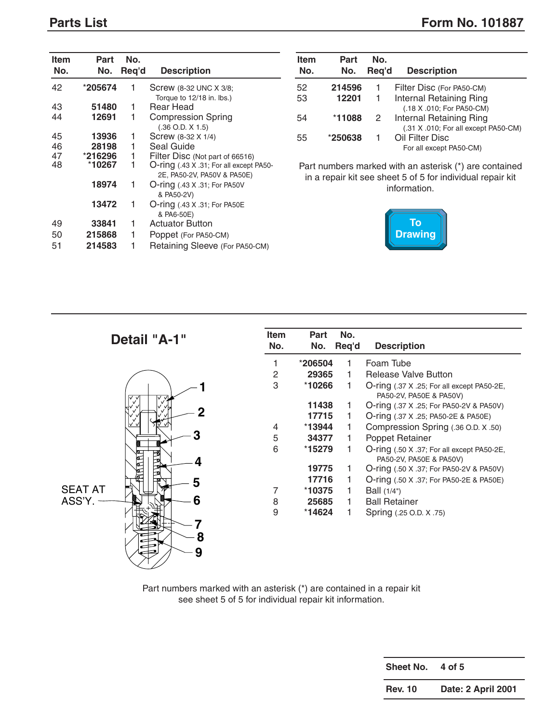<span id="page-6-0"></span>

| <b>Item</b><br>No. | Part<br>No.       | No.<br>Req'd | <b>Description</b>                                                                                        | <b>Item</b><br>No. | Part<br>No. | No.<br>Req'd | <b>Description</b>                                                                   |
|--------------------|-------------------|--------------|-----------------------------------------------------------------------------------------------------------|--------------------|-------------|--------------|--------------------------------------------------------------------------------------|
| 42                 | *205674           |              | Screw (8-32 UNC X 3/8;                                                                                    | 52                 | 214596      |              | Filter Disc (For P                                                                   |
|                    |                   |              | Torque to 12/18 in. lbs.)                                                                                 | 53                 | 12201       | 1            | Internal Retaini                                                                     |
| 43                 | 51480             |              | <b>Rear Head</b>                                                                                          |                    |             |              | (.18 X .010; For I                                                                   |
| 44                 | 12691             |              | <b>Compression Spring</b><br>$(.36$ O.D. $X$ 1.5)                                                         | 54                 | *11088      | 2            | Internal Retaini<br>(.31 X .010; For a                                               |
| 45                 | 13936             |              | Screw (8-32 X 1/4)                                                                                        | 55                 | *250638     | 1            | Oil Filter Disc                                                                      |
| 46                 | 28198             |              | Seal Guide                                                                                                |                    |             |              | For all except PA                                                                    |
| 47<br>48           | *216296<br>*10267 |              | Filter Disc (Not part of 66516)<br>O-ring (.43 X .31; For all except PA50-<br>2E, PA50-2V, PA50V & PA50E) |                    |             |              | Part numbers marked with an asterisk (<br>in a repair kit see sheet 5 of 5 for indiv |
|                    | 18974             |              | <b>O-ring</b> (.43 X .31; For PA50V<br>& PA50-2V)                                                         |                    |             |              | information.                                                                         |
|                    | 13472             |              | <b>O-ring</b> (.43 X .31; For PA50E<br>& PA6-50E)                                                         |                    |             |              |                                                                                      |
| 49                 | 33841             | 1            | <b>Actuator Button</b>                                                                                    |                    |             |              | To                                                                                   |
| 50                 | 215868            |              | Poppet (For PA50-CM)                                                                                      |                    |             |              | <b>Drawing</b>                                                                       |
| 51                 | 214583            |              | Retaining Sleeve (For PA50-CM)                                                                            |                    |             |              |                                                                                      |

| Item<br>No. | Part<br>No. | No.<br>Reg'd | <b>Description</b>                                              |
|-------------|-------------|--------------|-----------------------------------------------------------------|
| 52          | 214596      | 1            | Filter Disc (For PA50-CM)                                       |
| 53          | 12201       | 1            | Internal Retaining Ring<br>(.18 X .010; For PA50-CM)            |
| 54          | *11088      | 2            | Internal Retaining Ring<br>(.31 X .010; For all except PA50-CM) |
| 55          | *250638     |              | Oil Filter Disc<br>For all except PA50-CM)                      |

Part numbers marked with an asterisk (\*) are contained in a repair kit see sheet 5 of 5 for individual repair kit information.

![](_page_6_Picture_5.jpeg)

| Detail "A-1"   | <b>Item</b><br>No. | Part<br>No. | No.<br>Req'd | <b>Description</b>                                                    |
|----------------|--------------------|-------------|--------------|-----------------------------------------------------------------------|
|                |                    | *206504     |              | Foam Tube                                                             |
|                | 2                  | 29365       |              | Release Valve Button                                                  |
|                | 3                  | *10266      |              | O-ring (.37 X .25; For all except PA50-2E,<br>PA50-2V, PA50E & PA50V) |
|                |                    | 11438       |              | O-ring (.37 X .25; For PA50-2V & PA50V)                               |
|                |                    | 17715       |              | O-ring (.37 X .25; PA50-2E & PA50E)                                   |
|                | 4                  | $*13944$    |              | Compression Spring (.36 O.D. X .50)                                   |
|                | 5                  | 34377       |              | Poppet Retainer                                                       |
| 9899           | 6                  | *15279      |              | O-ring (.50 X .37; For all except PA50-2E,<br>PA50-2V, PA50E & PA50V) |
|                |                    | 19775       |              | O-ring (.50 X .37; For PA50-2V & PA50V)                               |
| 5              |                    | 17716       |              | O-ring (.50 X .37; For PA50-2E & PA50E)                               |
| <b>SEAT AT</b> |                    | $*10375$    |              | Ball (1/4")                                                           |
| ASS'Y.<br>6    | 8                  | 25685       |              | <b>Ball Retainer</b>                                                  |
| 8              | 9                  | *14624      |              | Spring (.25 O.D. X .75)                                               |
| 9              |                    |             |              |                                                                       |

Part numbers marked with an asterisk (\*) are contained in a repair kit see sheet 5 of 5 for individual repair kit information.

| Sheet No.      | 4 of 5             |
|----------------|--------------------|
| <b>Rev. 10</b> | Date: 2 April 2001 |